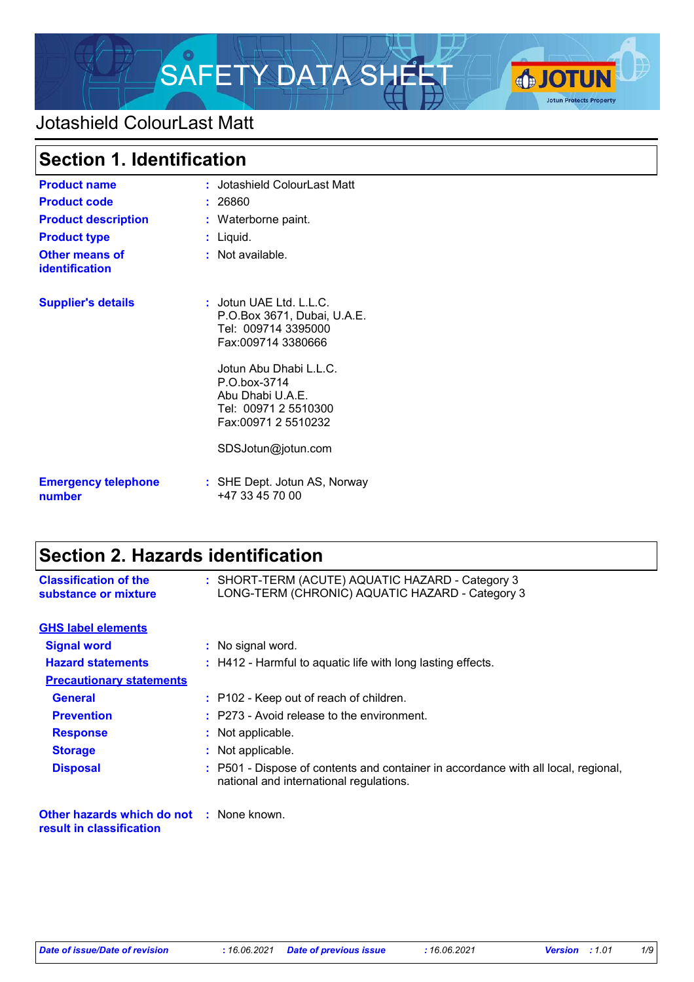

# Jotashield ColourLast Matt

| <b>Section 1. Identification</b>        |                                                                                                                               |
|-----------------------------------------|-------------------------------------------------------------------------------------------------------------------------------|
| <b>Product name</b>                     | : Jotashield ColourLast Matt                                                                                                  |
| <b>Product code</b>                     | : 26860                                                                                                                       |
| <b>Product description</b>              | : Waterborne paint.                                                                                                           |
| <b>Product type</b>                     | : Liquid.                                                                                                                     |
| Other means of<br><b>identification</b> | : Not available.                                                                                                              |
| <b>Supplier's details</b>               | : Jotun UAE Ltd. L.L.C.<br>P.O.Box 3671, Dubai, U.A.E.<br>Tel: 009714 3395000<br>Fax:009714 3380666<br>Jotun Abu Dhabi L.L.C. |
|                                         | P.O.box-3714<br>Abu Dhabi U.A.E.<br>Tel: 00971 2 5510300<br>Fax:00971 2 5510232                                               |
|                                         | SDSJotun@jotun.com                                                                                                            |
| <b>Emergency telephone</b><br>number    | : SHE Dept. Jotun AS, Norway<br>+47 33 45 70 00                                                                               |

# **Section 2. Hazards identification**

| <b>Classification of the</b><br>substance or mixture                        | : SHORT-TERM (ACUTE) AQUATIC HAZARD - Category 3<br>LONG-TERM (CHRONIC) AQUATIC HAZARD - Category 3                           |
|-----------------------------------------------------------------------------|-------------------------------------------------------------------------------------------------------------------------------|
| <b>GHS label elements</b>                                                   |                                                                                                                               |
| <b>Signal word</b>                                                          | : No signal word.                                                                                                             |
| <b>Hazard statements</b>                                                    | $\therefore$ H412 - Harmful to aquatic life with long lasting effects.                                                        |
| <b>Precautionary statements</b>                                             |                                                                                                                               |
| <b>General</b>                                                              | : P102 - Keep out of reach of children.                                                                                       |
| <b>Prevention</b>                                                           | $:$ P273 - Avoid release to the environment.                                                                                  |
| <b>Response</b>                                                             | : Not applicable.                                                                                                             |
| <b>Storage</b>                                                              | : Not applicable.                                                                                                             |
| <b>Disposal</b>                                                             | : P501 - Dispose of contents and container in accordance with all local, regional,<br>national and international regulations. |
| <b>Other hazards which do not : None known.</b><br>result in classification |                                                                                                                               |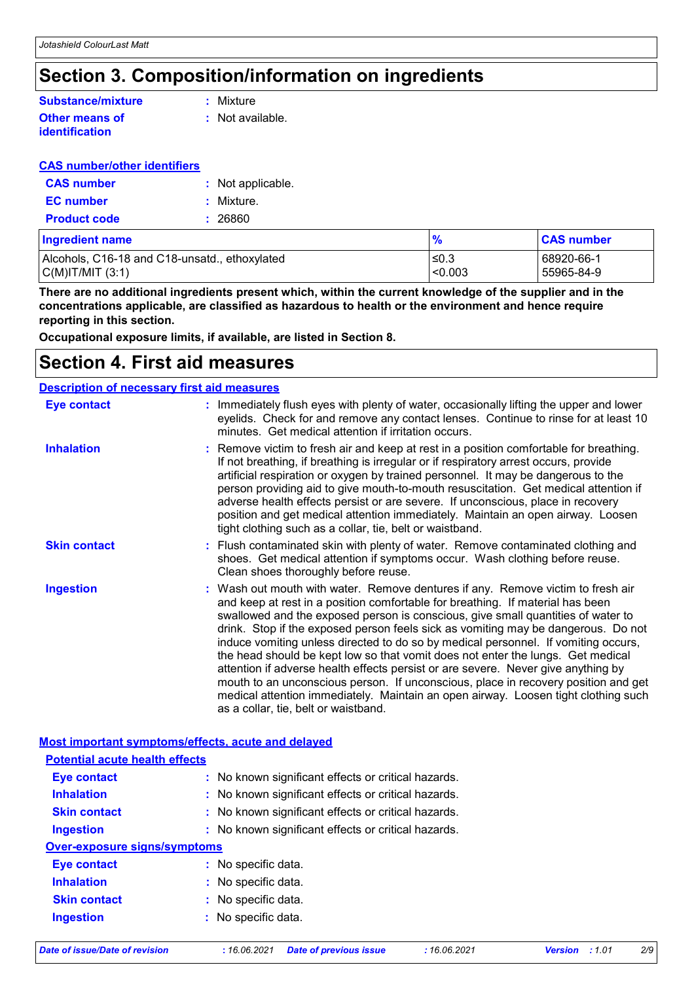# **Section 3. Composition/information on ingredients**

### **Other means of identification Substance/mixture**

**:** Mixture

**:** Not available.

## **CAS number/other identifiers**

| <b>CAS</b> number   | : Not applicable. |
|---------------------|-------------------|
| <b>EC</b> number    | : Mixture.        |
| <b>Product code</b> | : 26860           |

| Ingredient name                               |         | <b>CAS number</b> |
|-----------------------------------------------|---------|-------------------|
| Alcohols, C16-18 and C18-unsatd., ethoxylated | ≤0.3    | 68920-66-1        |
| C(M) T/MIT (3:1)                              | < 0.003 | 55965-84-9        |

**There are no additional ingredients present which, within the current knowledge of the supplier and in the concentrations applicable, are classified as hazardous to health or the environment and hence require reporting in this section.**

**Occupational exposure limits, if available, are listed in Section 8.**

## **Section 4. First aid measures**

| <b>Description of necessary first aid measures</b> |                                                                                                                                                                                                                                                                                                                                                                                                                                                                                                                                                                                                                                                                                                                                                                                                                              |  |
|----------------------------------------------------|------------------------------------------------------------------------------------------------------------------------------------------------------------------------------------------------------------------------------------------------------------------------------------------------------------------------------------------------------------------------------------------------------------------------------------------------------------------------------------------------------------------------------------------------------------------------------------------------------------------------------------------------------------------------------------------------------------------------------------------------------------------------------------------------------------------------------|--|
| <b>Eye contact</b>                                 | : Immediately flush eyes with plenty of water, occasionally lifting the upper and lower<br>eyelids. Check for and remove any contact lenses. Continue to rinse for at least 10<br>minutes. Get medical attention if irritation occurs.                                                                                                                                                                                                                                                                                                                                                                                                                                                                                                                                                                                       |  |
| <b>Inhalation</b>                                  | : Remove victim to fresh air and keep at rest in a position comfortable for breathing.<br>If not breathing, if breathing is irregular or if respiratory arrest occurs, provide<br>artificial respiration or oxygen by trained personnel. It may be dangerous to the<br>person providing aid to give mouth-to-mouth resuscitation. Get medical attention if<br>adverse health effects persist or are severe. If unconscious, place in recovery<br>position and get medical attention immediately. Maintain an open airway. Loosen<br>tight clothing such as a collar, tie, belt or waistband.                                                                                                                                                                                                                                 |  |
| <b>Skin contact</b>                                | : Flush contaminated skin with plenty of water. Remove contaminated clothing and<br>shoes. Get medical attention if symptoms occur. Wash clothing before reuse.<br>Clean shoes thoroughly before reuse.                                                                                                                                                                                                                                                                                                                                                                                                                                                                                                                                                                                                                      |  |
| <b>Ingestion</b>                                   | : Wash out mouth with water. Remove dentures if any. Remove victim to fresh air<br>and keep at rest in a position comfortable for breathing. If material has been<br>swallowed and the exposed person is conscious, give small quantities of water to<br>drink. Stop if the exposed person feels sick as vomiting may be dangerous. Do not<br>induce vomiting unless directed to do so by medical personnel. If vomiting occurs,<br>the head should be kept low so that vomit does not enter the lungs. Get medical<br>attention if adverse health effects persist or are severe. Never give anything by<br>mouth to an unconscious person. If unconscious, place in recovery position and get<br>medical attention immediately. Maintain an open airway. Loosen tight clothing such<br>as a collar, tie, belt or waistband. |  |

#### **Most important symptoms/effects, acute and delayed**

| <b>Potential acute health effects</b> |                                                     |
|---------------------------------------|-----------------------------------------------------|
| <b>Eye contact</b>                    | : No known significant effects or critical hazards. |
| <b>Inhalation</b>                     | : No known significant effects or critical hazards. |
| <b>Skin contact</b>                   | : No known significant effects or critical hazards. |
| <b>Ingestion</b>                      | : No known significant effects or critical hazards. |
| <b>Over-exposure signs/symptoms</b>   |                                                     |
| Eye contact                           | : No specific data.                                 |
| <b>Inhalation</b>                     | $\therefore$ No specific data.                      |
| <b>Skin contact</b>                   | : No specific data.                                 |
| <b>Ingestion</b>                      | : No specific data.                                 |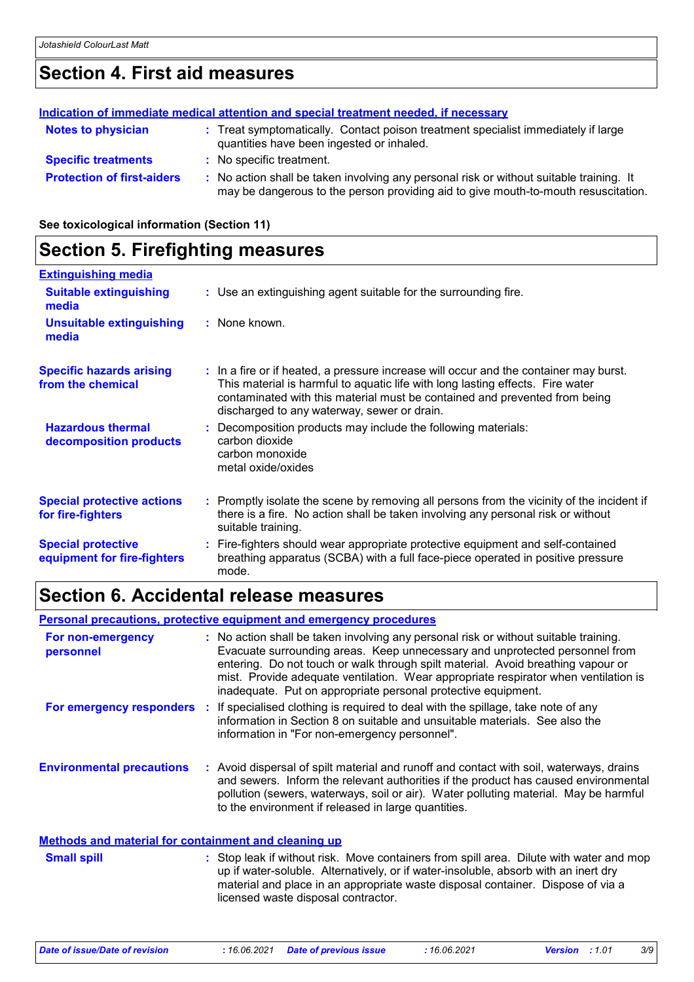# **Section 4. First aid measures**

|                                   | Indication of immediate medical attention and special treatment needed, if necessary                                                                                          |
|-----------------------------------|-------------------------------------------------------------------------------------------------------------------------------------------------------------------------------|
| <b>Notes to physician</b>         | : Treat symptomatically. Contact poison treatment specialist immediately if large<br>quantities have been ingested or inhaled.                                                |
| <b>Specific treatments</b>        | : No specific treatment.                                                                                                                                                      |
| <b>Protection of first-aiders</b> | : No action shall be taken involving any personal risk or without suitable training. It<br>may be dangerous to the person providing aid to give mouth-to-mouth resuscitation. |

**See toxicological information (Section 11)**

## **Section 5. Firefighting measures**

| <b>Extinguishing media</b>                               |                                                                                                                                                                                                                                                                                                      |
|----------------------------------------------------------|------------------------------------------------------------------------------------------------------------------------------------------------------------------------------------------------------------------------------------------------------------------------------------------------------|
| <b>Suitable extinguishing</b><br>media                   | : Use an extinguishing agent suitable for the surrounding fire.                                                                                                                                                                                                                                      |
| <b>Unsuitable extinguishing</b><br>media                 | : None known.                                                                                                                                                                                                                                                                                        |
| <b>Specific hazards arising</b><br>from the chemical     | : In a fire or if heated, a pressure increase will occur and the container may burst.<br>This material is harmful to aquatic life with long lasting effects. Fire water<br>contaminated with this material must be contained and prevented from being<br>discharged to any waterway, sewer or drain. |
| <b>Hazardous thermal</b><br>decomposition products       | : Decomposition products may include the following materials:<br>carbon dioxide<br>carbon monoxide<br>metal oxide/oxides                                                                                                                                                                             |
| <b>Special protective actions</b><br>for fire-fighters   | : Promptly isolate the scene by removing all persons from the vicinity of the incident if<br>there is a fire. No action shall be taken involving any personal risk or without<br>suitable training.                                                                                                  |
| <b>Special protective</b><br>equipment for fire-fighters | : Fire-fighters should wear appropriate protective equipment and self-contained<br>breathing apparatus (SCBA) with a full face-piece operated in positive pressure<br>mode.                                                                                                                          |

## **Section 6. Accidental release measures**

**Personal precautions, protective equipment and emergency procedures**

| For non-emergency<br>personnel                              | : No action shall be taken involving any personal risk or without suitable training.<br>Evacuate surrounding areas. Keep unnecessary and unprotected personnel from<br>entering. Do not touch or walk through spilt material. Avoid breathing vapour or<br>mist. Provide adequate ventilation. Wear appropriate respirator when ventilation is<br>inadequate. Put on appropriate personal protective equipment. |
|-------------------------------------------------------------|-----------------------------------------------------------------------------------------------------------------------------------------------------------------------------------------------------------------------------------------------------------------------------------------------------------------------------------------------------------------------------------------------------------------|
| For emergency responders                                    | : If specialised clothing is required to deal with the spillage, take note of any<br>information in Section 8 on suitable and unsuitable materials. See also the<br>information in "For non-emergency personnel".                                                                                                                                                                                               |
| <b>Environmental precautions</b>                            | : Avoid dispersal of spilt material and runoff and contact with soil, waterways, drains<br>and sewers. Inform the relevant authorities if the product has caused environmental<br>pollution (sewers, waterways, soil or air). Water polluting material. May be harmful<br>to the environment if released in large quantities.                                                                                   |
| <b>Methods and material for containment and cleaning up</b> |                                                                                                                                                                                                                                                                                                                                                                                                                 |

#### Stop leak if without risk. Move containers from spill area. Dilute with water and mop up if water-soluble. Alternatively, or if water-insoluble, absorb with an inert dry material and place in an appropriate waste disposal container. Dispose of via a licensed waste disposal contractor. **Small spill :**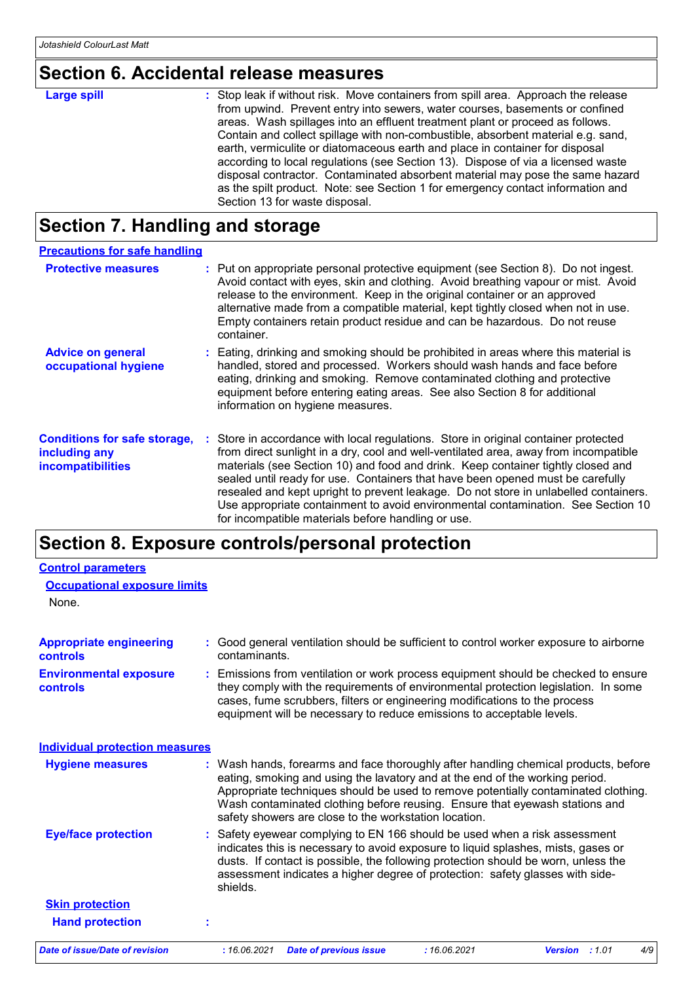# **Section 6. Accidental release measures**

| <b>Large spill</b> | : Stop leak if without risk. Move containers from spill area. Approach the release<br>from upwind. Prevent entry into sewers, water courses, basements or confined<br>areas. Wash spillages into an effluent treatment plant or proceed as follows.  |
|--------------------|------------------------------------------------------------------------------------------------------------------------------------------------------------------------------------------------------------------------------------------------------|
|                    | Contain and collect spillage with non-combustible, absorbent material e.g. sand,<br>earth, vermiculite or diatomaceous earth and place in container for disposal<br>according to local regulations (see Section 13). Dispose of via a licensed waste |
|                    | disposal contractor. Contaminated absorbent material may pose the same hazard<br>as the spilt product. Note: see Section 1 for emergency contact information and<br>Section 13 for waste disposal.                                                   |

# **Section 7. Handling and storage**

| <b>Precautions for safe handling</b>                                             |                                                                                                                                                                                                                                                                                                                                                                                                                                                                                                                                                                                     |
|----------------------------------------------------------------------------------|-------------------------------------------------------------------------------------------------------------------------------------------------------------------------------------------------------------------------------------------------------------------------------------------------------------------------------------------------------------------------------------------------------------------------------------------------------------------------------------------------------------------------------------------------------------------------------------|
| <b>Protective measures</b>                                                       | : Put on appropriate personal protective equipment (see Section 8). Do not ingest.<br>Avoid contact with eyes, skin and clothing. Avoid breathing vapour or mist. Avoid<br>release to the environment. Keep in the original container or an approved<br>alternative made from a compatible material, kept tightly closed when not in use.<br>Empty containers retain product residue and can be hazardous. Do not reuse<br>container.                                                                                                                                               |
| <b>Advice on general</b><br>occupational hygiene                                 | : Eating, drinking and smoking should be prohibited in areas where this material is<br>handled, stored and processed. Workers should wash hands and face before<br>eating, drinking and smoking. Remove contaminated clothing and protective<br>equipment before entering eating areas. See also Section 8 for additional<br>information on hygiene measures.                                                                                                                                                                                                                       |
| <b>Conditions for safe storage,</b><br>including any<br><b>incompatibilities</b> | : Store in accordance with local regulations. Store in original container protected<br>from direct sunlight in a dry, cool and well-ventilated area, away from incompatible<br>materials (see Section 10) and food and drink. Keep container tightly closed and<br>sealed until ready for use. Containers that have been opened must be carefully<br>resealed and kept upright to prevent leakage. Do not store in unlabelled containers.<br>Use appropriate containment to avoid environmental contamination. See Section 10<br>for incompatible materials before handling or use. |

# **Section 8. Exposure controls/personal protection**

| <b>Control parameters</b>                         |                                                                                                                                                                                                                                                                                                                                                                                                   |
|---------------------------------------------------|---------------------------------------------------------------------------------------------------------------------------------------------------------------------------------------------------------------------------------------------------------------------------------------------------------------------------------------------------------------------------------------------------|
| <b>Occupational exposure limits</b>               |                                                                                                                                                                                                                                                                                                                                                                                                   |
| None.                                             |                                                                                                                                                                                                                                                                                                                                                                                                   |
| <b>Appropriate engineering</b><br><b>controls</b> | : Good general ventilation should be sufficient to control worker exposure to airborne<br>contaminants.                                                                                                                                                                                                                                                                                           |
| <b>Environmental exposure</b><br><b>controls</b>  | : Emissions from ventilation or work process equipment should be checked to ensure<br>they comply with the requirements of environmental protection legislation. In some<br>cases, fume scrubbers, filters or engineering modifications to the process<br>equipment will be necessary to reduce emissions to acceptable levels.                                                                   |
| <b>Individual protection measures</b>             |                                                                                                                                                                                                                                                                                                                                                                                                   |
| <b>Hygiene measures</b>                           | : Wash hands, forearms and face thoroughly after handling chemical products, before<br>eating, smoking and using the lavatory and at the end of the working period.<br>Appropriate techniques should be used to remove potentially contaminated clothing.<br>Wash contaminated clothing before reusing. Ensure that eyewash stations and<br>safety showers are close to the workstation location. |
| <b>Eye/face protection</b>                        | : Safety eyewear complying to EN 166 should be used when a risk assessment<br>indicates this is necessary to avoid exposure to liquid splashes, mists, gases or<br>dusts. If contact is possible, the following protection should be worn, unless the<br>assessment indicates a higher degree of protection: safety glasses with side-<br>shields.                                                |
| <b>Skin protection</b>                            |                                                                                                                                                                                                                                                                                                                                                                                                   |
| <b>Hand protection</b>                            |                                                                                                                                                                                                                                                                                                                                                                                                   |
| <b>Date of issue/Date of revision</b>             | : 16.06.2021<br>: 16.06.2021<br>4/9<br><b>Date of previous issue</b><br>Version : 1.01                                                                                                                                                                                                                                                                                                            |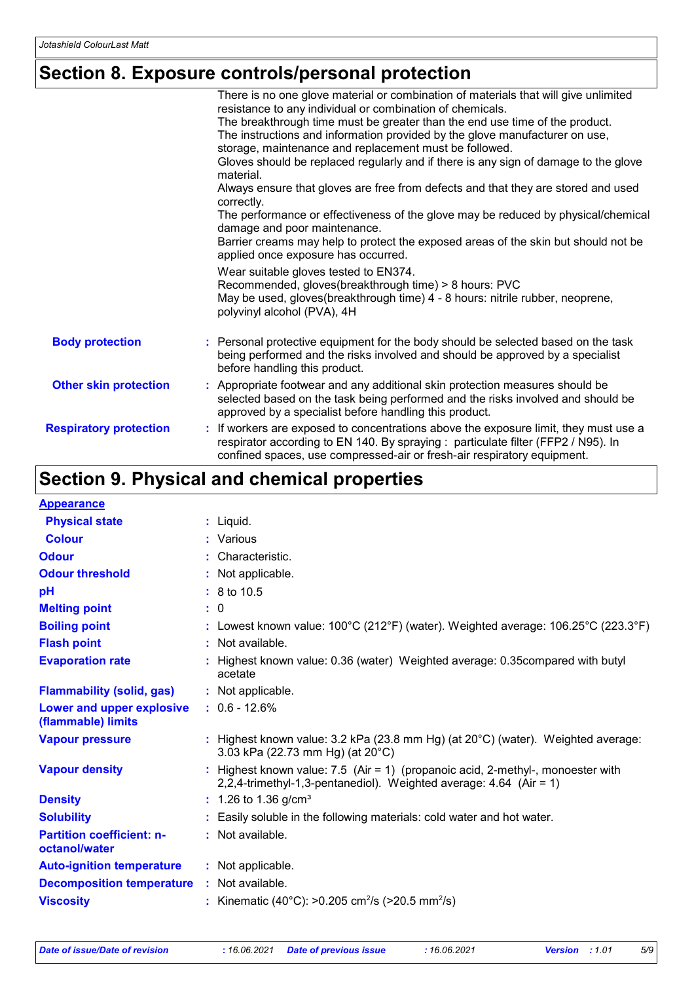# **Section 8. Exposure controls/personal protection**

|                               | There is no one glove material or combination of materials that will give unlimited                                                                                                                                                                |
|-------------------------------|----------------------------------------------------------------------------------------------------------------------------------------------------------------------------------------------------------------------------------------------------|
|                               | resistance to any individual or combination of chemicals.                                                                                                                                                                                          |
|                               | The breakthrough time must be greater than the end use time of the product.                                                                                                                                                                        |
|                               | The instructions and information provided by the glove manufacturer on use,                                                                                                                                                                        |
|                               | storage, maintenance and replacement must be followed.                                                                                                                                                                                             |
|                               | Gloves should be replaced regularly and if there is any sign of damage to the glove<br>material.                                                                                                                                                   |
|                               | Always ensure that gloves are free from defects and that they are stored and used<br>correctly.                                                                                                                                                    |
|                               | The performance or effectiveness of the glove may be reduced by physical/chemical<br>damage and poor maintenance.                                                                                                                                  |
|                               | Barrier creams may help to protect the exposed areas of the skin but should not be<br>applied once exposure has occurred.                                                                                                                          |
|                               | Wear suitable gloves tested to EN374.<br>Recommended, gloves(breakthrough time) > 8 hours: PVC<br>May be used, gloves(breakthrough time) 4 - 8 hours: nitrile rubber, neoprene,<br>polyvinyl alcohol (PVA), 4H                                     |
| <b>Body protection</b>        | Personal protective equipment for the body should be selected based on the task<br>being performed and the risks involved and should be approved by a specialist<br>before handling this product.                                                  |
| <b>Other skin protection</b>  | : Appropriate footwear and any additional skin protection measures should be<br>selected based on the task being performed and the risks involved and should be<br>approved by a specialist before handling this product.                          |
| <b>Respiratory protection</b> | If workers are exposed to concentrations above the exposure limit, they must use a<br>respirator according to EN 140. By spraying : particulate filter (FFP2 / N95). In<br>confined spaces, use compressed-air or fresh-air respiratory equipment. |

# **Section 9. Physical and chemical properties**

| <b>Appearance</b>                                      |                                                                                                                                                         |
|--------------------------------------------------------|---------------------------------------------------------------------------------------------------------------------------------------------------------|
| <b>Physical state</b>                                  | $:$ Liquid.                                                                                                                                             |
| <b>Colour</b>                                          | : Various                                                                                                                                               |
| <b>Odour</b>                                           | : Characteristic.                                                                                                                                       |
| <b>Odour threshold</b>                                 | : Not applicable.                                                                                                                                       |
| рH                                                     | $: 8 \text{ to } 10.5$                                                                                                                                  |
| <b>Melting point</b>                                   | : 0                                                                                                                                                     |
| <b>Boiling point</b>                                   | : Lowest known value: $100^{\circ}$ C (212°F) (water). Weighted average: $106.25^{\circ}$ C (223.3°F)                                                   |
| <b>Flash point</b>                                     | : Not available.                                                                                                                                        |
| <b>Evaporation rate</b>                                | : Highest known value: 0.36 (water) Weighted average: 0.35 compared with butyl<br>acetate                                                               |
| <b>Flammability (solid, gas)</b>                       | : Not applicable.                                                                                                                                       |
| <b>Lower and upper explosive</b><br>(flammable) limits | $: 0.6 - 12.6%$                                                                                                                                         |
| <b>Vapour pressure</b>                                 | : Highest known value: $3.2$ kPa (23.8 mm Hg) (at $20^{\circ}$ C) (water). Weighted average:<br>3.03 kPa (22.73 mm Hg) (at 20°C)                        |
| <b>Vapour density</b>                                  | : Highest known value: $7.5$ (Air = 1) (propanoic acid, 2-methyl-, monoester with<br>2,2,4-trimethyl-1,3-pentanediol). Weighted average: 4.64 (Air = 1) |
| <b>Density</b>                                         | $: 1.26$ to 1.36 g/cm <sup>3</sup>                                                                                                                      |
| <b>Solubility</b>                                      | : Easily soluble in the following materials: cold water and hot water.                                                                                  |
| <b>Partition coefficient: n-</b><br>octanol/water      | : Not available.                                                                                                                                        |
| <b>Auto-ignition temperature</b>                       | : Not applicable.                                                                                                                                       |
| <b>Decomposition temperature</b>                       | : Not available.                                                                                                                                        |
| <b>Viscosity</b>                                       | : Kinematic (40°C): >0.205 cm <sup>2</sup> /s (>20.5 mm <sup>2</sup> /s)                                                                                |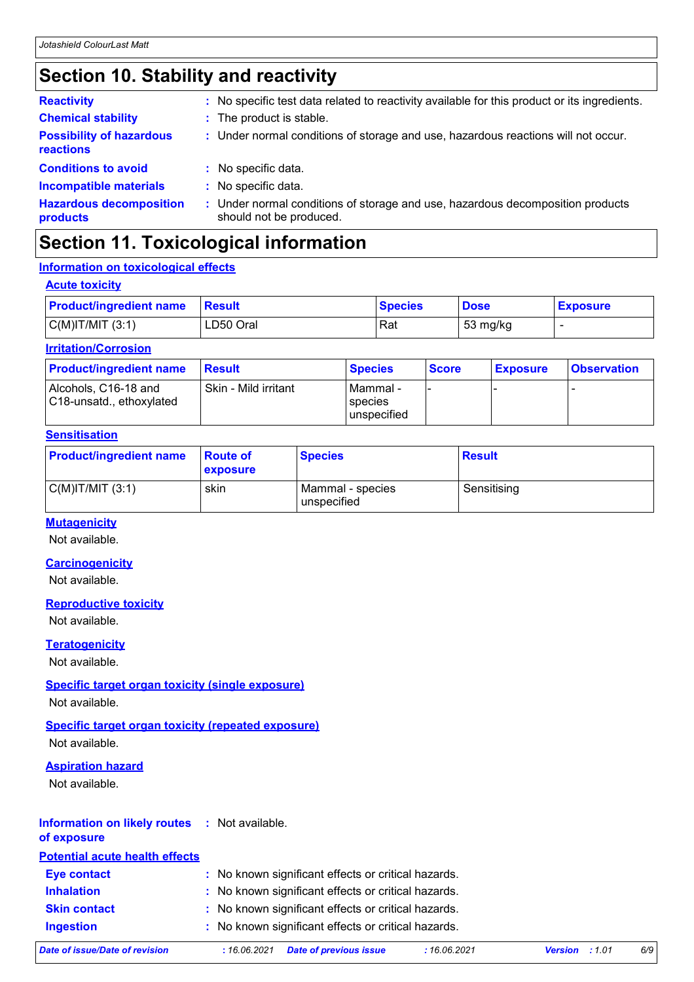# **Section 10. Stability and reactivity**

| : No specific test data related to reactivity available for this product or its ingredients.              |
|-----------------------------------------------------------------------------------------------------------|
| : The product is stable.                                                                                  |
| : Under normal conditions of storage and use, hazardous reactions will not occur.                         |
| : No specific data.                                                                                       |
| : No specific data.                                                                                       |
| : Under normal conditions of storage and use, hazardous decomposition products<br>should not be produced. |
|                                                                                                           |

# **Section 11. Toxicological information**

## **Information on toxicological effects**

| <b>Acute toxicity</b>          |               |                |             |                 |
|--------------------------------|---------------|----------------|-------------|-----------------|
| <b>Product/ingredient name</b> | <b>Result</b> | <b>Species</b> | <b>Dose</b> | <b>Exposure</b> |
| $C(M)$ IT/MIT $(3:1)$          | LD50 Oral     | Rat            | 53 mg/kg    |                 |

## **Irritation/Corrosion**

| <b>Product/ingredient name</b>                   | <b>Result</b>        | <b>Species</b>                              | <b>Score</b> | <b>Exposure</b> | <b>Observation</b> |
|--------------------------------------------------|----------------------|---------------------------------------------|--------------|-----------------|--------------------|
| Alcohols, C16-18 and<br>C18-unsatd., ethoxylated | Skin - Mild irritant | l Mammal -<br><b>Species</b><br>unspecified |              |                 |                    |

## **Sensitisation**

| <b>Product/ingredient name</b> | ∣Route of<br>exposure | <b>Species</b>                  | <b>Result</b> |
|--------------------------------|-----------------------|---------------------------------|---------------|
| $C(M)$ IT/MIT $(3:1)$          | skin                  | Mammal - species<br>unspecified | Sensitising   |

## **Mutagenicity**

Not available.

## **Carcinogenicity**

Not available.

## **Reproductive toxicity**

Not available.

## **Teratogenicity**

Not available.

## **Specific target organ toxicity (single exposure)**

Not available.

## **Specific target organ toxicity (repeated exposure)**

Not available.

## **Aspiration hazard**

Not available.

## **Information on likely routes :** Not available.

**of exposure**

| <b>Potential acute health effects</b> |                                                     |
|---------------------------------------|-----------------------------------------------------|
| <b>Eye contact</b>                    | : No known significant effects or critical hazards. |
| <b>Inhalation</b>                     | : No known significant effects or critical hazards. |
| <b>Skin contact</b>                   | : No known significant effects or critical hazards. |
| <b>Ingestion</b>                      | : No known significant effects or critical hazards. |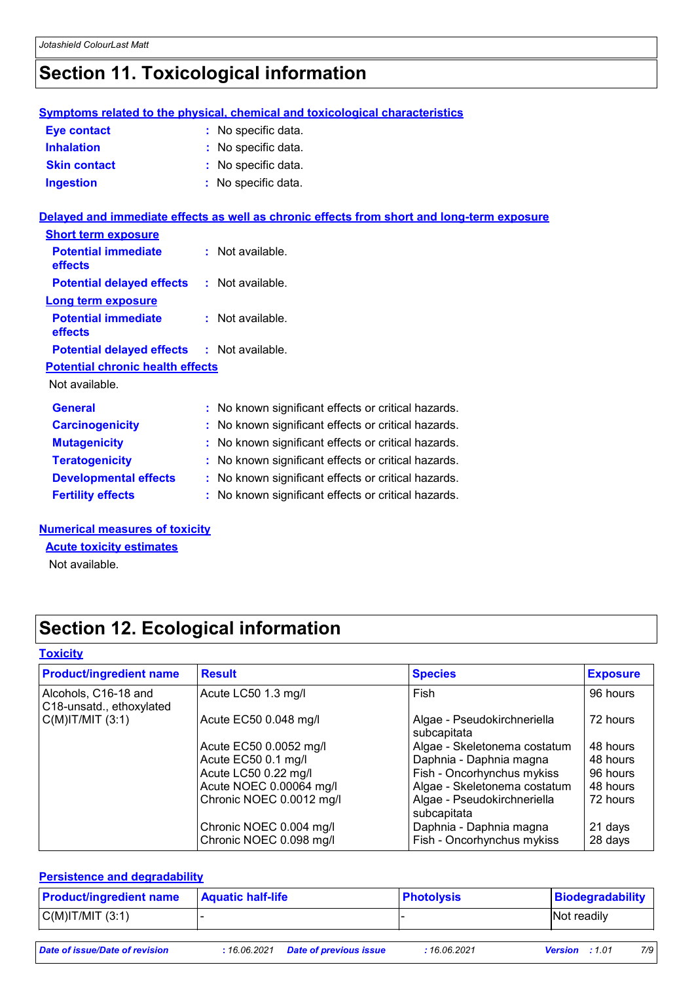# **Section 11. Toxicological information**

|                                                   | <b>Symptoms related to the physical, chemical and toxicological characteristics</b>        |
|---------------------------------------------------|--------------------------------------------------------------------------------------------|
| <b>Eye contact</b>                                | : No specific data.                                                                        |
| <b>Inhalation</b>                                 | No specific data.                                                                          |
| <b>Skin contact</b>                               | No specific data.                                                                          |
| <b>Ingestion</b>                                  | : No specific data.                                                                        |
|                                                   | Delayed and immediate effects as well as chronic effects from short and long-term exposure |
| <b>Short term exposure</b>                        |                                                                                            |
| <b>Potential immediate</b><br>effects             | $:$ Not available.                                                                         |
| <b>Potential delayed effects</b>                  | : Not available.                                                                           |
| <b>Long term exposure</b>                         |                                                                                            |
| <b>Potential immediate</b><br>effects             | : Not available.                                                                           |
| <b>Potential delayed effects : Not available.</b> |                                                                                            |
| <b>Potential chronic health effects</b>           |                                                                                            |
| Not available.                                    |                                                                                            |
| <b>General</b>                                    | : No known significant effects or critical hazards.                                        |
| <b>Carcinogenicity</b>                            | No known significant effects or critical hazards.                                          |
| <b>Mutagenicity</b>                               | No known significant effects or critical hazards.                                          |
| <b>Teratogenicity</b>                             | : No known significant effects or critical hazards.                                        |
| <b>Developmental effects</b>                      | : No known significant effects or critical hazards.                                        |
| <b>Fertility effects</b>                          | : No known significant effects or critical hazards.                                        |

## **Numerical measures of toxicity**

**Acute toxicity estimates**

Not available.

# **Section 12. Ecological information**

## **Toxicity**

| <b>Product/ingredient name</b>                   | <b>Result</b>                                      | <b>Species</b>                                        | <b>Exposure</b>    |
|--------------------------------------------------|----------------------------------------------------|-------------------------------------------------------|--------------------|
| Alcohols, C16-18 and<br>C18-unsatd., ethoxylated | Acute LC50 1.3 mg/l                                | Fish                                                  | 96 hours           |
| $C(M)$ IT/MIT $(3:1)$                            | Acute EC50 0.048 mg/l                              | Algae - Pseudokirchneriella<br>subcapitata            | 72 hours           |
|                                                  | Acute EC50 0.0052 mg/l                             | Algae - Skeletonema costatum                          | 48 hours           |
|                                                  | Acute EC50 0.1 mg/l                                | Daphnia - Daphnia magna                               | 48 hours           |
|                                                  | Acute LC50 0.22 mg/l                               | Fish - Oncorhynchus mykiss                            | 96 hours           |
|                                                  | Acute NOEC 0.00064 mg/l                            | Algae - Skeletonema costatum                          | 48 hours           |
|                                                  | Chronic NOEC 0.0012 mg/l                           | Algae - Pseudokirchneriella<br>subcapitata            | 72 hours           |
|                                                  | Chronic NOEC 0.004 mg/l<br>Chronic NOEC 0.098 mg/l | Daphnia - Daphnia magna<br>Fish - Oncorhynchus mykiss | 21 days<br>28 days |

## **Persistence and degradability**

| <b>Product/ingredient name</b> | <b>Aquatic half-life</b> | <b>Photolysis</b> | Biodegradability |
|--------------------------------|--------------------------|-------------------|------------------|
| $C(M)$ IT/MIT $(3:1)$          |                          |                   | Not readily      |
|                                |                          |                   |                  |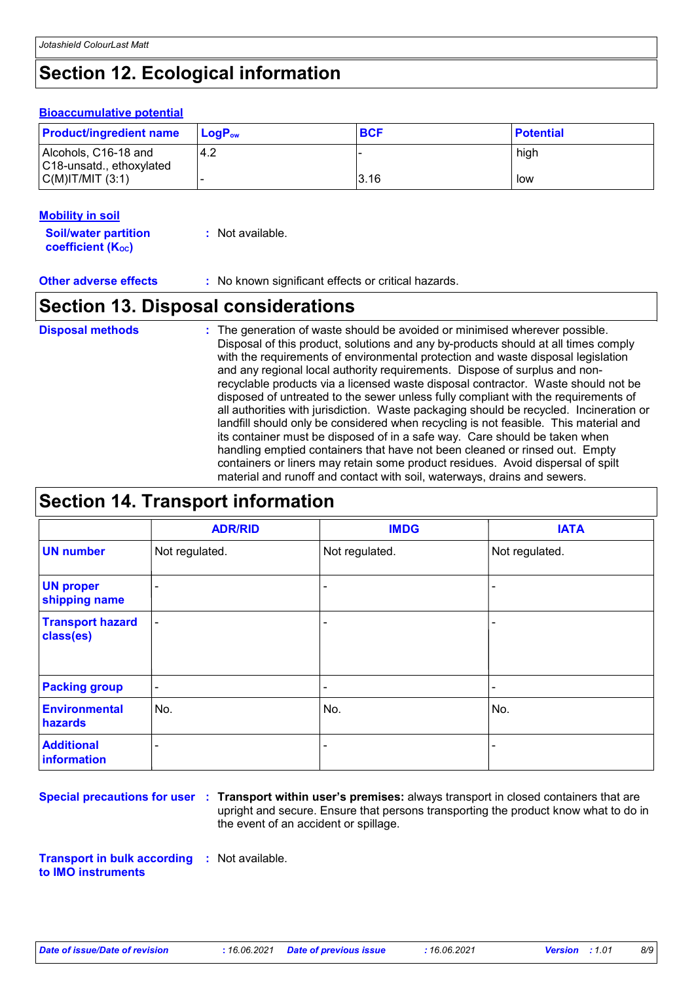# **Section 12. Ecological information**

## **Bioaccumulative potential**

| <b>Product/ingredient name</b>                   | ⊺LoɑP <sub>ow</sub> | <b>BCF</b> | <b>Potential</b> |
|--------------------------------------------------|---------------------|------------|------------------|
| Alcohols, C16-18 and<br>C18-unsatd., ethoxylated | 4.2                 |            | high             |
| $C(M)$ IT/MIT $(3:1)$                            |                     | 3.16       | low              |

## **Mobility in soil**

**Soil/water partition coefficient (KOC) :** Not available.

**Other adverse effects :** No known significant effects or critical hazards.

## **Section 13. Disposal considerations**

The generation of waste should be avoided or minimised wherever possible. Disposal of this product, solutions and any by-products should at all times comply with the requirements of environmental protection and waste disposal legislation and any regional local authority requirements. Dispose of surplus and nonrecyclable products via a licensed waste disposal contractor. Waste should not be disposed of untreated to the sewer unless fully compliant with the requirements of all authorities with jurisdiction. Waste packaging should be recycled. Incineration or landfill should only be considered when recycling is not feasible. This material and its container must be disposed of in a safe way. Care should be taken when handling emptied containers that have not been cleaned or rinsed out. Empty containers or liners may retain some product residues. Avoid dispersal of spilt material and runoff and contact with soil, waterways, drains and sewers. **Disposal methods :**

# **Section 14. Transport information**

|                                      | <b>ADR/RID</b> | <b>IMDG</b>    | <b>IATA</b>    |
|--------------------------------------|----------------|----------------|----------------|
| <b>UN number</b>                     | Not regulated. | Not regulated. | Not regulated. |
| <b>UN proper</b><br>shipping name    | $\blacksquare$ |                |                |
| <b>Transport hazard</b><br>class(es) | $\blacksquare$ | ۰              | -              |
| <b>Packing group</b>                 | $\blacksquare$ | $\blacksquare$ | ۰              |
| <b>Environmental</b><br>hazards      | No.            | No.            | No.            |
| <b>Additional</b><br>information     | ۰              | ۰              | $\blacksquare$ |

**Special precautions for user Transport within user's premises:** always transport in closed containers that are **:** upright and secure. Ensure that persons transporting the product know what to do in the event of an accident or spillage.

**Transport in bulk according :** Not available. **to IMO instruments**